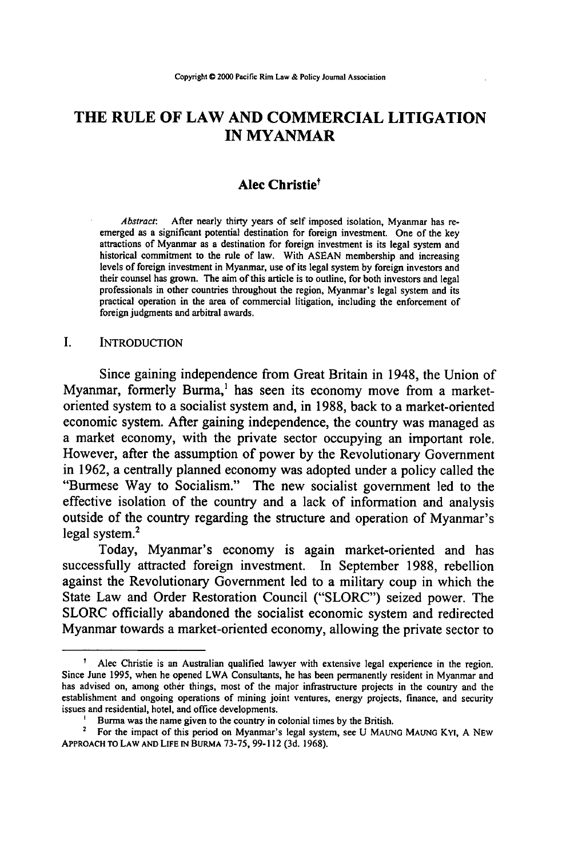# **THE RULE OF LAW AND COMMERCIAL LITIGATION IN MYANMAR**

## **Alec Christiet**

*Abstract:* After nearly thirty years of self imposed isolation, Myanmar has reemerged as a significant potential destination for foreign investment. One of the key attractions of Myanmar as a destination for foreign investment is its legal system and historical commitment to the rule of law. With **ASEAN** membership and increasing levels of foreign investment in Myanmar, use of its legal system **by** foreign investors and their counsel has grown. The aim of this article is to outline, for both investors and legal professionals in other countries throughout the region, Myanmar's legal system and its practical operation in the area of commercial litigation, including the enforcement of foreign judgments and arbitral awards.

## **I. INTRODUCTION**

Since gaining independence from Great Britain in 1948, the Union of Myanmar, formerly Burma, $<sup>1</sup>$  has seen its economy move from a market-</sup> oriented system to a socialist system and, in **1988,** back to a market-oriented economic system. After gaining independence, the country was managed as a market economy, with the private sector occupying an important role. However, after the assumption of power **by** the Revolutionary Government in **1962,** a centrally planned economy was adopted under a policy called the "Burmese Way to Socialism." The new socialist government led to the effective isolation of the country and a lack of information and analysis outside of the country regarding the structure and operation of Myanmar's legal system.2

Today, Myanmar's economy is again market-oriented and has successfully attracted foreign investment. In September **1988,** rebellion against the Revolutionary Government led to a military coup in which the State Law and Order Restoration Council ("SLORC") seized power. The SLORC officially abandoned the socialist economic system and redirected Myanmar towards a market-oriented economy, allowing the private sector to

t Alec Christie is an Australian qualified lawyer with extensive legal experience in the region. Since June 1995, when he opened LWA Consultants, he has been permanently resident in Myanmar and has advised on, among other things, most of the major infrastructure projects in the country and the establishment and ongoing operations of mining joint ventures, energy projects, finance, and security issues and residential, hotel, and office developments.

Burma was the name given to the country in colonial times by the British.

For the impact of this period on Myanmar's legal system, see **U MAUNG MAUNG Kyt, A NEW** APPROACH **TO** LAW **AND LIFE IN BURMA** 73-75, 99-112 (3d. 1968).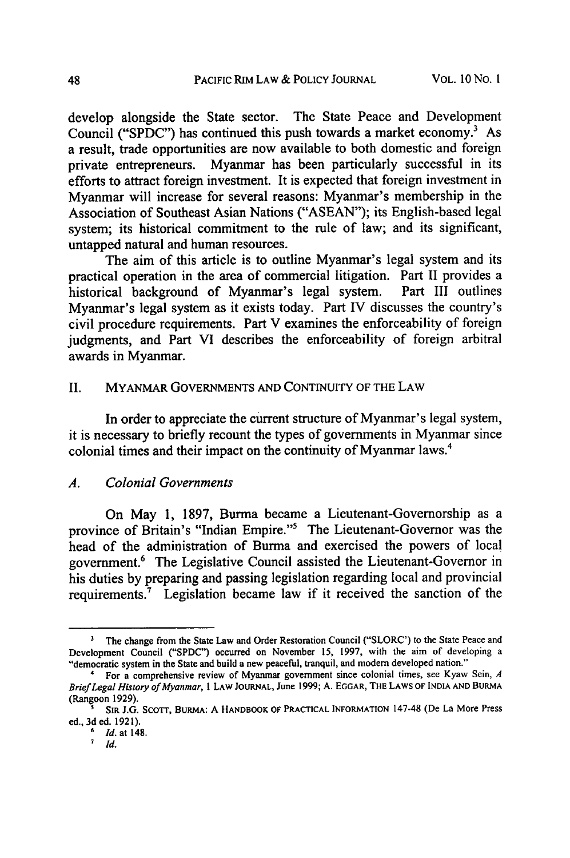develop alongside the State sector. The State Peace and Development Council ("SPDC") has continued this push towards a market economy.' As a result, trade opportunities are now available to both domestic and foreign private entrepreneurs. Myanmar has been particularly successful in its efforts to attract foreign investment. It is expected that foreign investment in Myanmar will increase for several reasons: Myanmar's membership in the Association of Southeast Asian Nations ("ASEAN"); its English-based legal system; its historical commitment to the rule of law; and its significant, untapped natural and human resources.

The aim of this article is to outline Myanmar's legal system and its practical operation in the area of commercial litigation. Part **II** provides a historical background of Myanmar's legal system. Myanmar's legal system as it exists today. Part IV discusses the country's civil procedure requirements. Part V examines the enforceability of foreign judgments, and Part VI describes the enforceability of foreign arbitral awards in Myanmar.

## II. MYANMAR GOVERNMENTS AND CONTINUITY OF THE LAW

In order to appreciate the current structure of Myanmar's legal system, it is necessary to briefly recount the types of governments in Myanmar since colonial times and their impact on the continuity of Myanmar laws.4

#### *A. Colonial Governments*

On May **1, 1897,** Burma became a Lieutenant-Governorship as a province of Britain's "Indian Empire."5 The Lieutenant-Govemor was the head of the administration of Burma and exercised the powers of local government.6 The Legislative Council assisted the Lieutenant-Governor in his duties **by** preparing and passing legislation regarding local and provincial requirements.7 Legislation became law if it received the sanction of the

<sup>&</sup>lt;sup>3</sup> The change from the State Law and Order Restoration Council ("SLORC') to the State Peace and Development Council ("SPDC") occurred on November 15, 1997, with the aim of developing a "democratic system in the State and build a new peaceful, tranquil, and modem developed nation." 4 For a comprehensive review of Myanmar government since colonial times, see Kyaw Sein, *<sup>A</sup>*

*Brief Legal History ofMyanmar, I* LAW **JOURNAL,** June 1999; **A.** EGGAR, THE LAWS OF **INDIA AND** BURMA (Rangoon 1929).

**<sup>&#</sup>x27;** SIR J.G. SCOTT, BURMA: A HANDBOOK OF PRACTICAL INFORMATION 147-48 **(De** La More Press ed., 3d ed. 1921).

**<sup>6</sup>** *Id.* at 148.

**<sup>7</sup>** *Id.*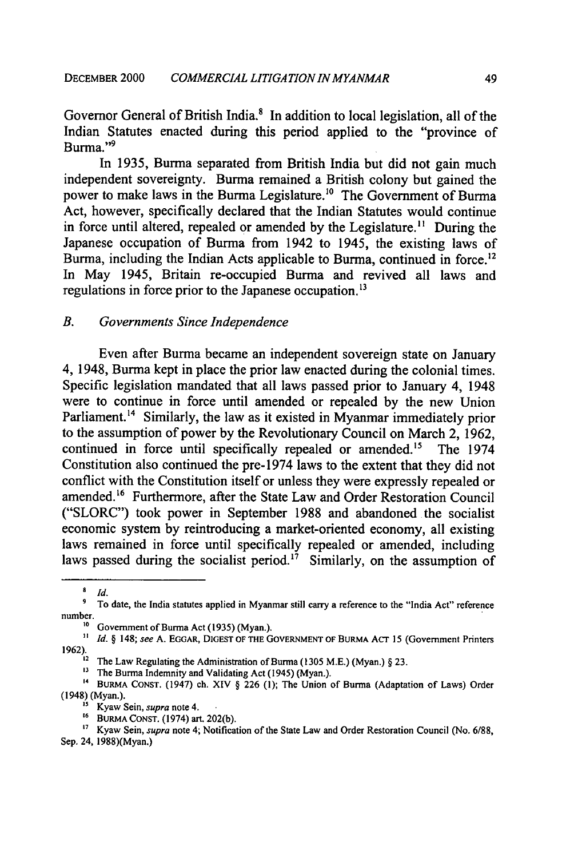Governor General of British India.<sup>8</sup> In addition to local legislation, all of the Indian Statutes enacted during this period applied to the "province of Burma."<sup>9</sup>

In 1935, Burma separated from British India but did not gain much independent sovereignty. Burma remained a British colony but gained the power to make laws in the Burma Legislature.<sup>10</sup> The Government of Burma Act, however, specifically declared that the Indian Statutes would continue in force until altered, repealed or amended by the Legislature.<sup>11</sup> During the Japanese occupation of Burma from 1942 to 1945, the existing laws of Burma, including the Indian Acts applicable to Burma, continued in force.<sup>12</sup> In May 1945, Britain re-occupied Burma and revived all laws and regulations in force prior to the Japanese occupation.<sup>13</sup>

# *B. Governments Since Independence*

Even after Burma became an independent sovereign state on January 4, 1948, Burma kept in place the prior law enacted during the colonial times. Specific legislation mandated that all laws passed prior to January 4, 1948 were to continue in force until amended or repealed by the new Union Parliament.<sup>14</sup> Similarly, the law as it existed in Myanmar immediately prior to the assumption of power by the Revolutionary Council on March 2, 1962, continued in force until specifically repealed or amended.<sup>15</sup> The 1974 Constitution also continued the pre-1974 laws to the extent that they did not conflict with the Constitution itself or unless they were expressly repealed or amended.<sup>16</sup> Furthermore, after the State Law and Order Restoration Council ("SLORC") took power in September 1988 and abandoned the socialist economic system by reintroducing a market-oriented economy, all existing laws remained in force until specifically repealed or amended, including laws passed during the socialist period.<sup>17</sup> Similarly, on the assumption of

**<sup>8</sup>** *Id.*

<sup>&</sup>lt;sup>9</sup> To date, the India statutes applied in Myanmar still carry a reference to the "India Act" reference number.

<sup>&</sup>lt;sup>10</sup> Government of Burma Act (1935) (Myan.).

*Id. §* 148; *see* A. **EGGAR, DIGEST** OF **THE GOVERNMENT** OF BURMA AcT 15 (Government Printers 1962). **2** The Law Regulating the Administration of Burma (1305 M.E.) (Myan.) *§* 23.

<sup>&</sup>lt;sup>3</sup> The Burma Indemnity and Validating Act (1945) (Myan.)

<sup>&</sup>lt;sup>13</sup> The Burma Indemnity and Validating Act (1945) (Myan.).<br><sup>14</sup> BURMA CONST. (1947) ch. XIV § 226 (1); The Union of Burma (Adaptation of Laws) Order (1948) (Myan.).

**<sup>&</sup>quot;5** Kyaw Sein, *supra* note 4.

**<sup>16</sup>** BURMA **CONST.** (1974) art. 202(b).

**<sup>7</sup>** Kyaw Sein, *supra* note 4; Notification of the State Law and Order Restoration Council (No. 6/88, Sep. 24, 1988)(Myan.)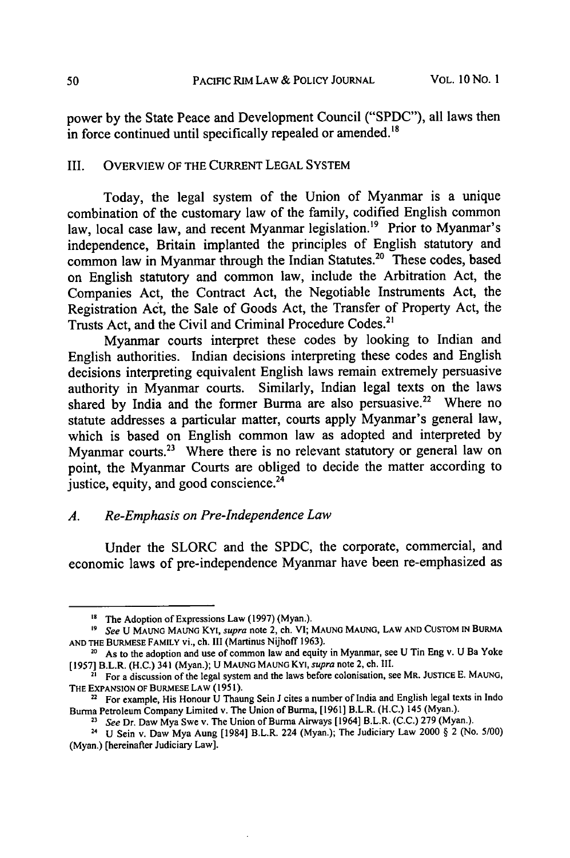power by the State Peace and Development Council ("SPDC"), all laws then in force continued until specifically repealed or amended.<sup>18</sup>

# III. OVERVIEW OF THE CURRENT LEGAL SYSTEM

Today, the legal system of the Union of Myanmar is a unique combination of the customary law of the family, codified English common law, local case law, and recent Myanmar legislation.<sup>19</sup> Prior to Myanmar's independence, Britain implanted the principles of English statutory and common law in Myanmar through the Indian Statutes.20 These codes, based on English statutory and common law, include the Arbitration Act, the Companies Act, the Contract Act, the Negotiable Instruments Act, the Registration Act, the Sale of Goods Act, the Transfer of Property Act, the Trusts Act, and the Civil and Criminal Procedure Codes.2'

Myanmar courts interpret these codes by looking to Indian and English authorities. Indian decisions interpreting these codes and English decisions interpreting equivalent English laws remain extremely persuasive authority in Myanmar courts. Similarly, Indian legal texts on the laws shared by India and the former Burma are also persuasive.<sup>22</sup> Where no statute addresses a particular matter, courts apply Myanmar's general law, which is based on English common law as adopted and interpreted by Myanmar courts. $23$  Where there is no relevant statutory or general law on point, the Myanmar Courts are obliged to decide the matter according to justice, equity, and good conscience.<sup>24</sup>

## *A. Re-Emphasis on Pre-Independence Law*

Under the SLORC and the SPDC, the corporate, commercial, and economic laws of pre-independence Myanmar have been re-emphasized as

<sup>&</sup>lt;sup>18</sup> The Adoption of Expressions Law (1997) (Myan.).

**<sup>&#</sup>x27;9** *See* **U MAUNG MAUNG** KYI, *supra* note 2, ch. VI; **MAUNG** MAUNG, LAW **AND** CUSTOM IN BURMA **AND** THE **BURMESE** FAMILY vi., ch. III (Martinus Nijhoff 1963).

**<sup>20</sup>** As to the adoption and use of common law and equity in Myanmar, see **U** Tin Eng v. **U** Ba Yoke **[1957]** B.L.R. (H.C.) 341 (Myan.); **U MAUNG MAUNG** KYI, *supra* note 2, ch. III.

**<sup>21</sup>** For a discussion of the legal system and the laws before colonisation, see MR. **JUSTICE E. MAUNG,** THE **EXPANSION** OF **BURMESE** LAW (1951).

**I** For example, His Honour **U** Thaung **Sein J** cites a number of India and English legal texts in Indo Burma Petroleum Company Limited v. The Union of Burma, **[1961]** B.L.R. **(H.C.)** 145 (Myan.).

*<sup>23</sup>See* Dr. Daw Mya Swe v. The Union of Burma Airways [1964] B.L.R. **(C.C.) 279** (Myan.).

**<sup>24</sup> U** Sein v. Daw Mya Aung [1984] B.L.R. 224 (Myan.); The Judiciary Law 2000 § 2 (No. **5/00)** (Myan.) [hereinafter Judiciary Law].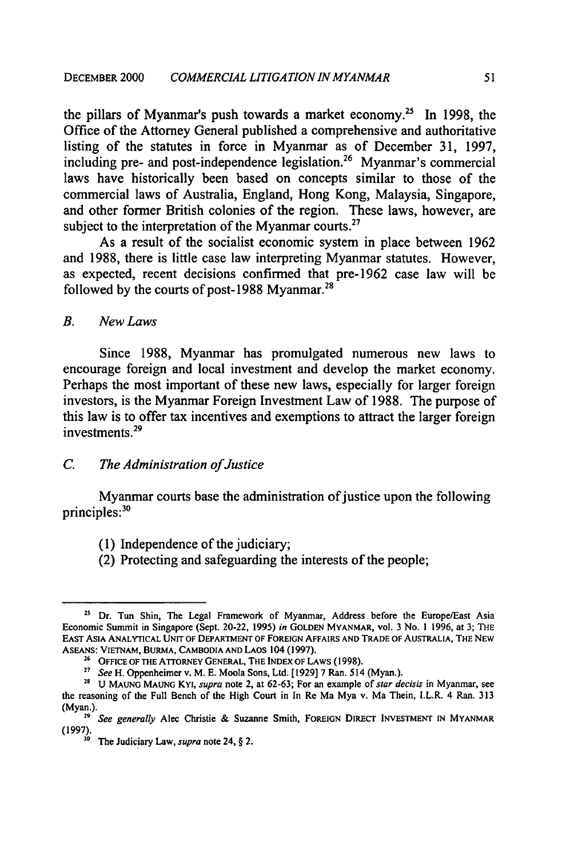the pillars of Myanmar's push towards a market economy.25 In **1998,** the Office of the Attorney General published a comprehensive and authoritative listing of the statutes in force in Myanmar as of December **31, 1997,** including pre- and post-independence legislation.<sup>26</sup> Myanmar's commercial laws have historically been based on concepts similar to those of the commercial laws of Australia, England, Hong Kong, Malaysia, Singapore, and other former British colonies of the region. These laws, however, are subject to the interpretation of the Myanmar courts.<sup>27</sup>

As a result of the socialist economic system in place between **1962** and **1988,** there is little case law interpreting Myanmar statutes. However, as expected, recent decisions confirmed that pre-1962 case law will be followed by the courts of post-1988 Myanmar.<sup>28</sup>

## *B. New Laws*

Since **1988,** Myanmar has promulgated numerous new laws to encourage foreign and local investment and develop the market economy. Perhaps the most important of these new laws, especially for larger foreign investors, is the Myanmar Foreign Investment Law of **1988.** The purpose of this law is to offer tax incentives and exemptions to attract the larger foreign investments.29

## *C. The Administration of Justice*

Myanmar courts base the administration of justice upon the following principles:<sup>3</sup>

- (1) Independence of the judiciary;
- (2) Protecting and safeguarding the interests of the people;

<sup>&</sup>lt;sup>25</sup> Dr. Tun Shin, The Legal Framework of Myanmar, Address before the Europe/East Asia Economic Summit in Singapore (Sept. 20-22, 1995) *in* **GOLDEN** MYANMAR, vol. 3 No. 1 1996, at 3; THE EAST ASIA **ANALYTICAL UNIT** OF DEPARTMENT OF FOREIGN AFFAIRS **AND TRADE** OF AUSTRALIA, THE **NEW ASEANS:** VIETNAM, BURMA, **CAMBODIA AND** LAOS 104 **(1997). 26 OFFICE** OF THE ATrORNEY **GENERAL,** THE **INDEX** OF LAWS **(1998).**

*<sup>2</sup> See* H. Oppenheimer v. M. **E.** Moola Sons, Ltd. **[1929]** 7 Ran. 514 (Myan.).

**<sup>28</sup> U MAUNG MAUNG** KYI, *supra* note 2, at **62-63;** For an example *of star decisis* in Myanmar, see the reasoning of the Full Bench of the High Court in In Re Ma Mya v. Ma Thein, I.L.R. 4 Ran. **313** (Myan.). *"' See generally* Alec Christie & Suzanne Smith, FOREIGN DIRECT **INVESTMENT IN** MYANMAR

<sup>(1997).</sup> **30** The Judiciary Law, *supra* note 24,  $\S$  2.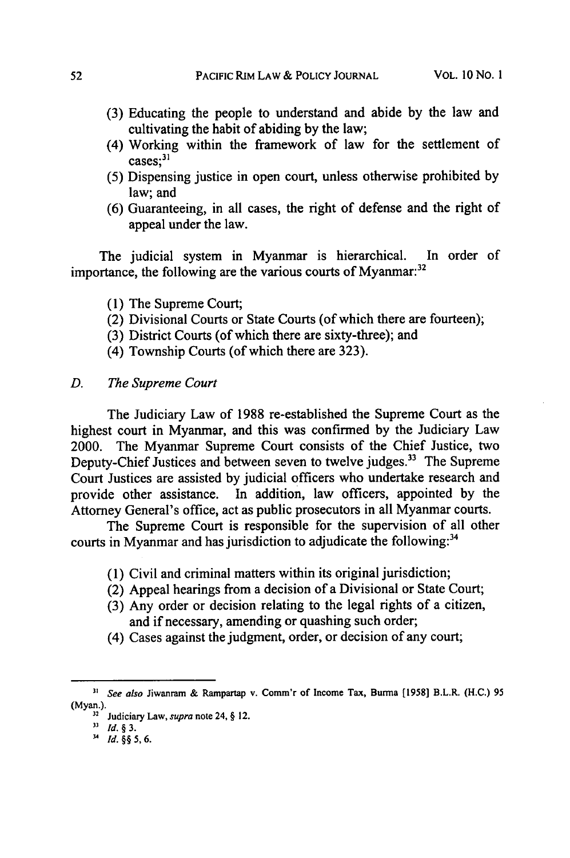- (3) Educating the people to understand and abide by the law and cultivating the habit of abiding by the law;
- (4) Working within the framework of law for the settlement of  $\frac{1}{2}$  cases;<sup>31</sup>
- (5) Dispensing justice in open court, unless otherwise prohibited by law; and
- (6) Guaranteeing, in all cases, the right of defense and the right of appeal under the law.

The judicial system in Myanmar is hierarchical. In order of importance, the following are the various courts of Myanmar.<sup>32</sup>

- (1) The Supreme Court;
- (2) Divisional Courts or State Courts (of which there are fourteen);
- (3) District Courts (of which there are sixty-three); and
- (4) Township Courts (of which there are 323).

#### *D. The Supreme Court*

The Judiciary Law of 1988 re-established the Supreme Court as the highest court in Myanmar, and this was confirmed by the Judiciary Law 2000. The Myanmar Supreme Court consists of the Chief Justice, two Deputy-Chief Justices and between seven to twelve judges.<sup>33</sup> The Supreme Court Justices are assisted by judicial officers who undertake research and provide other assistance. In addition, law officers, appointed by the Attorney General's office, act as public prosecutors in all Myanmar courts.

The Supreme Court is responsible for the supervision of all other courts in Myanmar and has jurisdiction to adjudicate the following:<sup>34</sup>

- (1) Civil and criminal matters within its original jurisdiction;
- (2) Appeal hearings from a decision of a Divisional or State Court;
- (3) Any order or decision relating to the legal rights of a citizen, and if necessary, amending or quashing such order;
- (4) Cases against the judgment, order, or decision of any court;

**<sup>&</sup>quot;** *See also* Jiwanram & Rampartap v. Comm'r of Income Tax, **Burma [1958]** B.L.R. **(H.C.) 95** (Myan.). **<sup>32</sup>**Judiciary Law, *supra* note 24, § 12.

*<sup>3</sup> Id.§3.*

*<sup>&#</sup>x27;4 Id.§§5,6.*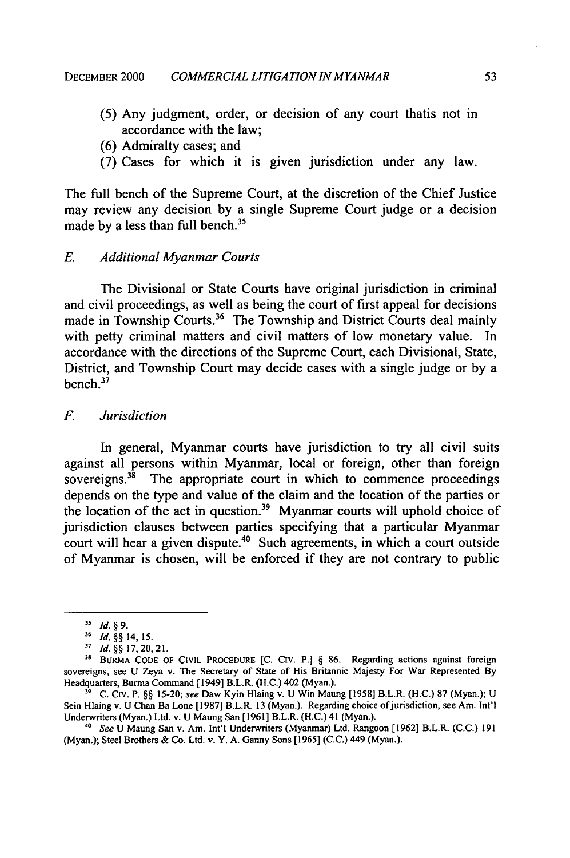- (5) Any judgment, order, or decision of any court thatis not in accordance with the law;
- (6) Admiralty cases; and
- (7) Cases for which it is given jurisdiction under any law.

The full bench of the Supreme Court, at the discretion of the Chief Justice may review any decision by a single Supreme Court judge or a decision made by a less than full bench.<sup>3</sup>

## *E. Additional Myanmar Courts*

The Divisional or State Courts have original jurisdiction in criminal and civil proceedings, as well as being the court of first appeal for decisions made in Township Courts.<sup>36</sup> The Township and District Courts deal mainly with petty criminal matters and civil matters of low monetary value. In accordance with the directions of the Supreme Court, each Divisional, State, District, and Township Court may decide cases with a single judge or by a  $h$ ench. $37$ 

# *F. Jurisdiction*

In general, Myanmar courts have jurisdiction to try all civil suits against all persons within Myanmar, local or foreign, other than foreign sovereigns.<sup>38</sup> The appropriate court in which to commence proceedings depends on the type and value of the claim and the location of the parties or the location of the act in question.<sup>39</sup> Myanmar courts will uphold choice of jurisdiction clauses between parties specifying that a particular Myanmar court will hear a given dispute.<sup>40</sup> Such agreements, in which a court outside of Myanmar is chosen, will be enforced if they are not contrary to public

**<sup>35</sup>** *Id. § 9.*

**<sup>36</sup>***Id. §§* 14, 15.

**<sup>37</sup>***Id. §§* 17, 20, 21.

**<sup>31</sup>** BURMA CODE OF CIVIL PROCEDURE **[C.** Civ. P.] *§* 86. Regarding actions against foreign sovereigns, see U Zeya v. The Secretary of State of His Britannic Majesty For War Represented By Headquarters, Burma Command [ 1949] B.L.R. (H.C.) 402 (Myan.).

**<sup>19</sup>** C. Civ. P. *§§* 15-20; see Daw Kyin Hlaing v. U Win Maung [1958] B.L.R. (H.C.) 87 (Myan.); U Sein Hlaing v. U Chan Ba Lone [1987] B.L.R. 13 (Myan.). Regarding choice of jurisdiction, see Am. Int'l Underwriters (Myan.) Ltd. v. U Maung San [1961] B.L.R. (H.C.) 41 (Myan.).

<sup>&</sup>lt;sup>40</sup> See U Maung San v. Am. Int'l Underwriters (Myanmar) Ltd. Rangoon [1962] B.L.R. (C.C.) 191 (Myan.); Steel Brothers & Co. Ltd. v. Y. A. Ganny Sons [1965] (C.C.) 449 (Myan.).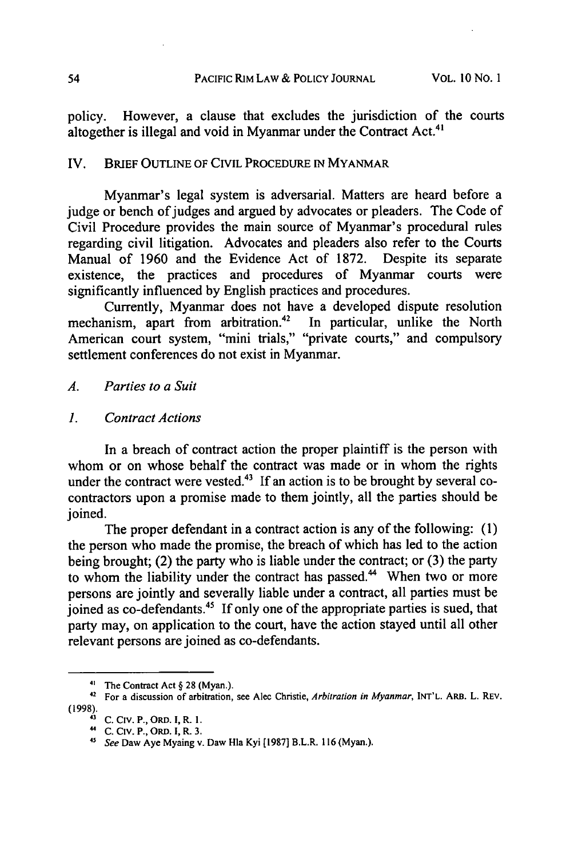policy. However, a clause that excludes the jurisdiction of the courts altogether is illegal and void in Myanmar under the Contract Act.<sup>41</sup>

#### IV. BRIEF OUTLINE OF CIVIL PROCEDURE **IN** MYANMAR

Myanmar's legal system is adversarial. Matters are heard before a judge or bench of judges and argued by advocates or pleaders. The Code of Civil Procedure provides the main source of Myanmar's procedural rules regarding civil litigation. Advocates and pleaders also refer to the Courts Manual of 1960 and the Evidence Act of 1872. Despite its separate existence, the practices and procedures of Myanmar courts were significantly influenced by English practices and procedures.

Currently, Myanmar does not have a developed dispute resolution mechanism, apart from arbitration.<sup>42</sup> In particular, unlike the North American court system, "mini trials," "private courts," and compulsory settlement conferences do not exist in Myanmar.

*A. Parties to a Suit*

*1. Contract Actions*

In a breach of contract action the proper plaintiff is the person with whom or on whose behalf the contract was made or in whom the rights under the contract were vested. $43$  If an action is to be brought by several cocontractors upon a promise made to them jointly, all the parties should be joined.

The proper defendant in a contract action is any of the following: (1) the person who made the promise, the breach of which has led to the action being brought; (2) the party who is liable under the contract; or (3) the party to whom the liability under the contract has passed.<sup>44</sup> When two or more persons are jointly and severally liable under a contract, all parties must be joined as co-defendants.<sup>45</sup> If only one of the appropriate parties is sued, that party may, on application to the court, have the action stayed until all other relevant persons are joined as co-defendants.

**<sup>4&#</sup>x27;** The Contract Act § 28 (Myan.).

**<sup>42</sup>** For a discussion of arbitration, see Alec Christie, Arbitration in Myanmar, INT'L. ARB. L. REV. (1998).43 **C.** Civ. **P.,** ORD. **I,** R. **1.**

<sup>45</sup> See Daw Aye Myaing v. Daw Hla Kyi [1987] B.L.R. 116 (Myan.).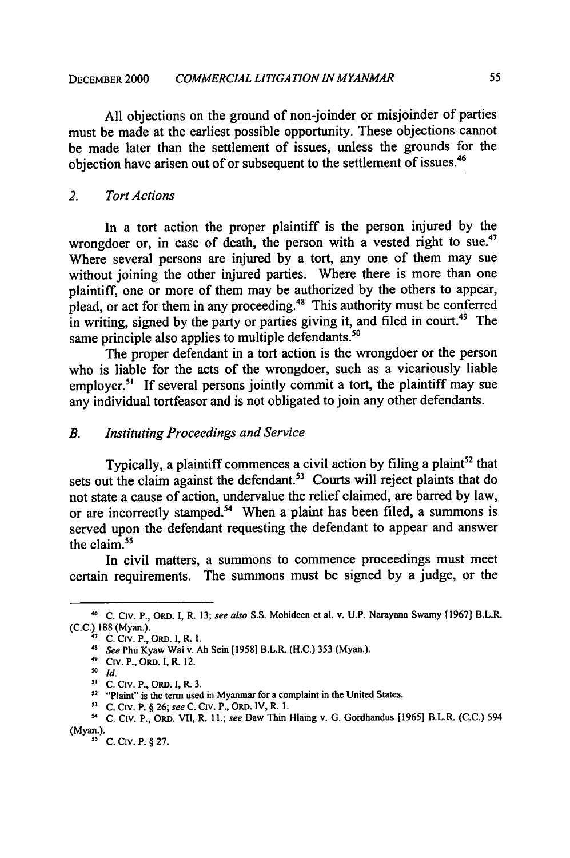**All** objections on the ground of non-joinder or misjoinder of parties must be made at the earliest possible opportunity. These objections cannot be made later than the settlement of issues, unless the grounds for the objection have arisen out of or subsequent to the settlement of issues.46

## *2. Tort Actions*

In a tort action the proper plaintiff is the person injured by the wrongdoer or, in case of death, the person with a vested right to sue.<sup>47</sup> Where several persons are injured by a tort, any one of them may sue without joining the other injured parties. Where there is more than one plaintiff, one or more of them may be authorized by the others to appear, plead, or act for them in any proceeding.<sup>48</sup> This authority must be conferred in writing, signed by the party or parties giving it, and filed in court.<sup>49</sup> The same principle also applies to multiple defendants.<sup>50</sup>

The proper defendant in a tort action is the wrongdoer or the person who is liable for the acts of the wrongdoer, such as a vicariously liable employer.<sup>51</sup> If several persons jointly commit a tort, the plaintiff may sue any individual tortfeasor and is not obligated to join any other defendants.

#### *B. Instituting Proceedings and Service*

Typically, a plaintiff commences a civil action by filing a plaint<sup>52</sup> that sets out the claim against the defendant.<sup>53</sup> Courts will reject plaints that do not state a cause of action, undervalue the relief claimed, are barred by law, or are incorrectly stamped.<sup>54</sup> When a plaint has been filed, a summons is served upon the defendant requesting the defendant to appear and answer the claim.<sup>55</sup>

In civil matters, a summons to commence proceedings must meet certain requirements. The summons must be signed by a judge, or the

**<sup>&</sup>quot;** C. Civ. P., OiD. I, R. 13; *see also* S.S. Mohideen **et** al. v. U.P. Narayana Swamy [1967] B.L.R. **(C.C.) 188** (Myan.).

**<sup>17</sup>**C. Civ. P., ORD. I, R. **1.**

**<sup>&</sup>quot;** *See* Phu Kyaw Wai v. **Ah** Sein [1958] B.L.R. (H.C.) 353 (Myan.). 49 Civ. P., ORD. I, R. 12.

**so** *Id.*

C. Civ. P., ORD. 1, R. 3.

<sup>&</sup>lt;sup>52</sup> "Plaint" is the term used in Myanmar for a complaint in the United States.

**<sup>13</sup>**C. CIV. P. § 26; *see* C. **Civ.** P., ORD. IV, R. 1.

<sup>5</sup> C. Civ. P., ORD. VII, R. **II.;** *see* Daw Thin Hlaing v. **G.** Gordhandus [1965] B.L.R. (C.C.) 594 (Myan.).

**<sup>51</sup>** C. Civ. P. § 27.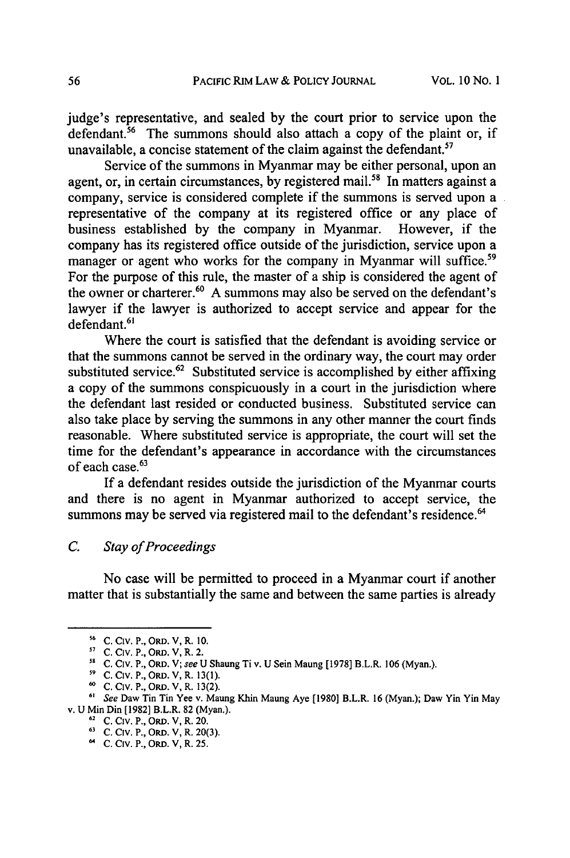judge's representative, and sealed **by** the court prior to service upon the defendant.<sup>56</sup> The summons should also attach a copy of the plaint or, if unavailable, a concise statement of the claim against the defendant.<sup>57</sup>

Service of the summons in Myanmar may be either personal, upon an agent, or, in certain circumstances, by registered mail.<sup>58</sup> In matters against a company, service is considered complete if the summons is served upon a representative of the company at its registered office or any place of business established by the company in Myanmar. However, if the company has its registered office outside of the jurisdiction, service upon a manager or agent who works for the company in Myanmar will suffice.<sup>59</sup> For the purpose of this rule, the master of a ship is considered the agent of the owner or charterer.<sup>60</sup> A summons may also be served on the defendant's lawyer if the lawyer is authorized to accept service and appear for the defendant.<sup>61</sup>

Where the court is satisfied that the defendant is avoiding service or that the summons cannot be served in the ordinary way, the court may order substituted service.<sup>62</sup> Substituted service is accomplished by either affixing a copy of the summons conspicuously in a court in the jurisdiction where the defendant last resided or conducted business. Substituted service can also take place by serving the summons in any other manner the court finds reasonable. Where substituted service is appropriate, the court will set the time for the defendant's appearance in accordance with the circumstances of each case.<sup>63</sup>

If a defendant resides outside the jurisdiction of the Myanmar courts and there is no agent in Myanmar authorized to accept service, the summons may be served via registered mail to the defendant's residence.<sup>64</sup>

## *C. Stay of Proceedings*

No case will be permitted to proceed in a Myanmar court if another matter that is substantially the same and between the same parties is already

**<sup>56</sup> C. Cv.P.,** ORD. **V, R. 10.**

**<sup>57</sup> C. Civ.** P., ORD. **V, R.** 2.

**<sup>58</sup> C.** Civ. P., ORD. V; see U Shaung Ti v. U Sein Maung [1978] B.L.R. 106 (Myan.).

**<sup>59</sup> C.** Civ. P., ORD. V, R. **13(1).**

**<sup>60</sup> C.** Civ. P., ORD. V, R. **13(2).**

<sup>&</sup>lt;sup>61</sup> See Daw Tin Tin Yee v. Maung Khin Maung Aye [1980] B.L.R. 16 (Myan.); Daw Yin Yin May v. U Min Din [1982] B.L.R. 82 (Myan.).<br><sup>62</sup> C. Civ. P., ORD. V, R. 20.

**<sup>63</sup>**C. Civ. P., ORD. V, R. 20(3).

C. Civ. P., ORD. V, R. **25.**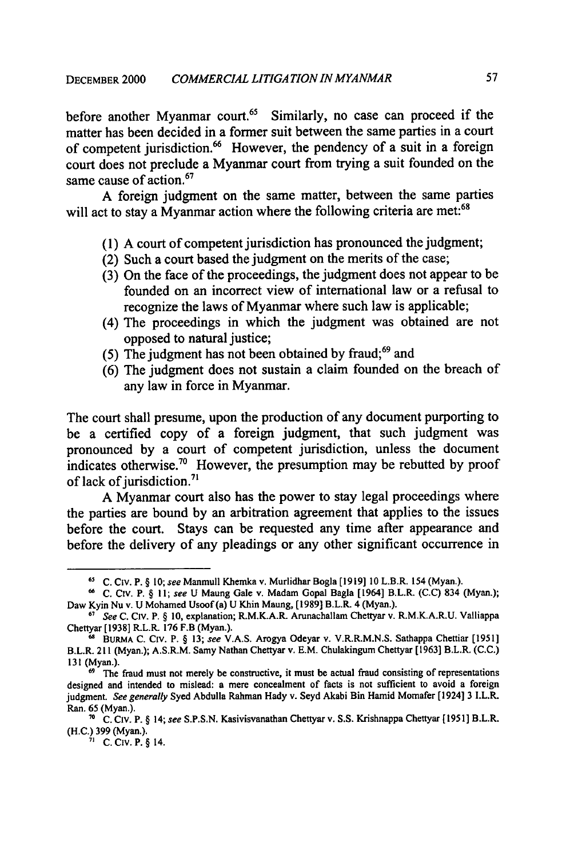before another Myanmar court.<sup>65</sup> Similarly, no case can proceed if the matter has been decided in a former suit between the same parties in a court of competent jurisdiction.<sup>66</sup> However, the pendency of a suit in a foreign court does not preclude a Myanmar court from trying a suit founded on the same cause of action.<sup>67</sup>

A foreign judgment on the same matter, between the same parties will act to stay a Myanmar action where the following criteria are met:<sup>68</sup>

- (1) A court of competent jurisdiction has pronounced the judgment;
- (2) Such a court based the judgment on the merits of the case;
- (3) On the face of the proceedings, the judgment does not appear to be founded on an incorrect view of international law or a refusal to recognize the laws of Myanmar where such law is applicable;
- (4) The proceedings in which the judgment was obtained are not opposed to natural justice;
- (5) The judgment has not been obtained by fraud; $69$  and
- (6) The judgment does not sustain a claim founded on the breach of any law in force in Myanmar.

The court shall presume, upon the production of any document purporting to be a certified copy of a foreign judgment, that such judgment was pronounced by a court of competent jurisdiction, unless the document indicates otherwise.<sup>70</sup> However, the presumption may be rebutted by proof of lack of jurisdiction.<sup>71</sup>

A Myanmar court also has the power to stay legal proceedings where the parties are bound by an arbitration agreement that applies to the issues before the court. Stays can be requested any time after appearance and before the delivery of any pleadings or any other significant occurrence in

**<sup>6</sup>S** C. Civ. P. § **10;** see Manmull Khemka v. Murlidhar Bogla [1919] **10** L.B.R. 154 (Myan.).

**<sup>66</sup>** C. Civ. P. § *11;* see U Maung Gale v. Madam Gopal Bagla [1964] B.L.R. (C.C) 834 (Myan.); Daw Kyin Nu v. U Mohamed Usoof (a) U Khin Maung, (1989] B.L.R. 4 (Myan.).

**<sup>67</sup>** See C. Civ. P. § 10, explanation; R.M.K.A.R. Arunachallam Chettyar v. R.M.K.A.R.U. Valliappa Chettyar [1938] R.L.R. 176 F.B (Myan.).

**<sup>68</sup>** BURMA C. CIV. P. § 13; see V.A.S. Arogya Odeyar v. V.R.R.M.N.S. Sathappa Chettiar [1951] B.L.R. 211 (Myan.); A.S.R.M. Samy Nathan Chettyar v. E.M. Chulakingum Chettyar [1963] B.L.R. (C.C.) 131 (Myan.).

The fraud must not merely be constructive, it must be actual fraud consisting of representations designed and intended to mislead: a mere concealment of facts is not sufficient to avoid a foreign judgment. See *generally* Syed Abdulla Rahman Hady v. Seyd Akabi Bin Hamid Momafer [1924] 3 I.L.R. Ran. 65 (Myan.).

**<sup>7</sup>** C. Civ. P. § 14; *see* S.P.S.N. Kasivisvanathan Chettyar v. **S.S.** Krishnappa Chettyar [ 1951] B.L.R. (H.C.) 399 (Myan.). **71** C. Civ. P. § 14.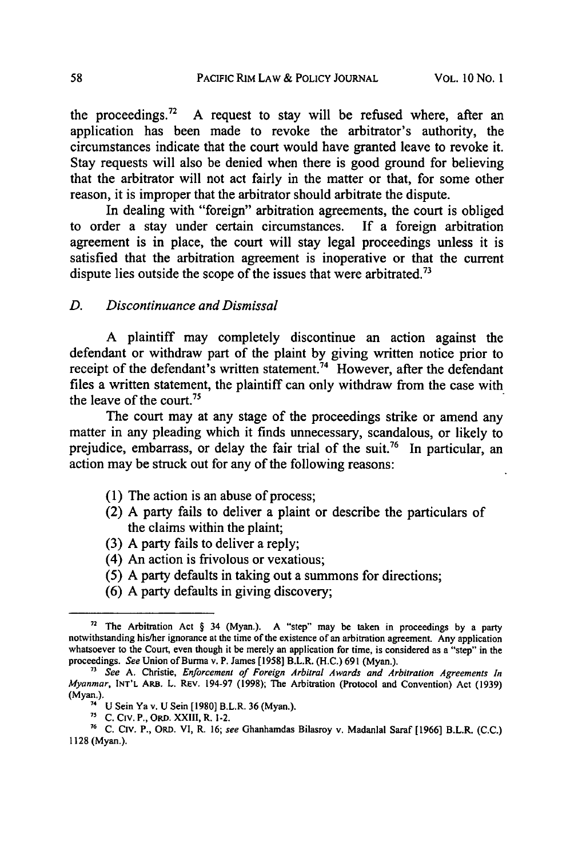the proceedings.<sup>72</sup> A request to stay will be refused where, after an application has been made to revoke the arbitrator's authority, the circumstances indicate that the court would have granted leave to revoke it. Stay requests will also be denied when there is good ground for believing that the arbitrator will not act fairly in the matter or that, for some other reason, it is improper that the arbitrator should arbitrate the dispute.

In dealing with "foreign" arbitration agreements, the court is obliged to order a stay under certain circumstances. If a foreign arbitration agreement is in place, the court will stay legal proceedings unless it is satisfied that the arbitration agreement is inoperative or that the current dispute lies outside the scope of the issues that were arbitrated.<sup>73</sup>

## *D. Discontinuance and Dismissal*

A plaintiff may completely discontinue an action against the defendant or withdraw part of the plaint by giving written notice prior to receipt of the defendant's written statement.<sup>74</sup> However, after the defendant files a written statement, the plaintiff can only withdraw from the case with the leave of the court.<sup>75</sup>

The court may at any stage of the proceedings strike or amend any matter in any pleading which it finds unnecessary, scandalous, or likely to prejudice, embarrass, or delay the fair trial of the suit.<sup>76</sup> In particular, an action may be struck out for any of the following reasons:

- (1) The action is an abuse of process;
- (2) A party fails to deliver a plaint or describe the particulars of the claims within the plaint;
- (3) A party fails to deliver a reply;
- (4) An action is frivolous or vexatious;
- *(5)* A party defaults in taking out a summons for directions;
- (6) A party defaults in giving discovery;

**<sup>72</sup>** The Arbitration Act § 34 (Myan.). A "step" may be taken in proceedings **by** a party notwithstanding his/her ignorance at the time of the existence of an arbitration agreement. Any application whatsoever to the Court, even though it be merely an application for time, is considered as a "step" in the proceedings. *See* Union of Burma v. P. James [1958] B.L.R. (H.C.) 691 (Myan.).

*<sup>&</sup>quot; See* A. Christie, *Enforcement of Foreign Arbitral Awards and Arbitration Agreements In Myanmar,* **INT'L** ARB. L. REV. 194-97 (1998); The Arbitration (Protocol and Convention) Act (1939) **(Myan.).**

<sup>7</sup> U Sein Ya v. **U** Sein [1980] B.L.R. 36 (Myan.).

**<sup>7&#</sup>x27; C.** Civ. P., ORD. XXIII, R. 1-2.

**<sup>76</sup> C.** Civ. P., ORD. VI, R. **16;** *see* Ghanhamdas Bilasroy v. Madanlal Saraf **[1966]** B.L.R. **(C.C.) 1128** (Myan.).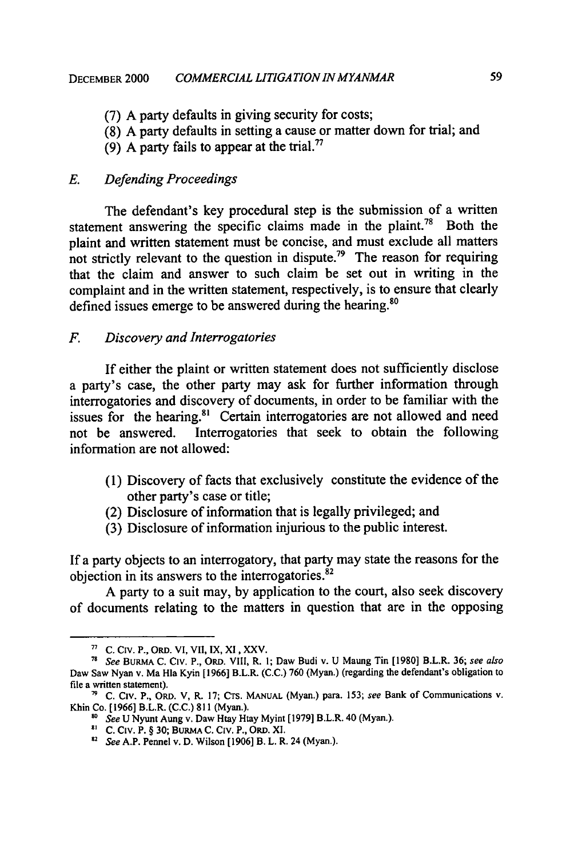- (7) A party defaults in giving security for costs;
- (8) A party defaults in setting a cause or matter down for trial; and
- (9) A party fails to appear at the trial.<sup>77</sup>

## *E. Defending Proceedings*

The defendant's key procedural step is the submission of a written statement answering the specific claims made in the plaint.<sup>78</sup> Both the plaint and written statement must be concise, and must exclude all matters not strictly relevant to the question in dispute.<sup>79</sup> The reason for requiring that the claim and answer to such claim be set out in writing in the complaint and in the written statement, respectively, is to ensure that clearly defined issues emerge to be answered during the hearing.<sup>8</sup>

#### *F. Discovery and Interrogatories*

If either the plaint or written statement does not sufficiently disclose a party's case, the other party may ask for further information through interrogatories and discovery of documents, in order to be familiar with the issues for the hearing.<sup>81</sup> Certain interrogatories are not allowed and need not be answered. Interrogatories that seek to obtain the following information are not allowed:

- (1) Discovery of facts that exclusively constitute the evidence of the other party's case or title;
- (2) Disclosure of information that is legally privileged; and
- (3) Disclosure of information injurious to the public interest.

If a party objects to an interrogatory, that party may state the reasons for the objection in its answers to the interrogatories.82

A party to a suit may, by application to the court, also seek discovery of documents relating to the matters in question that are in the opposing

**<sup>71</sup> C. Civ.** P., ORD. **VI,** VII, **IX, XI,** XXV.

*<sup>78</sup> See* **BURMA C. CIV.** P., ORD. VI1, R. **1;** Daw Budi v. U Maung Tin [1980] B.L.R. 36; *see also* Daw Saw Nyan v. Ma Hla Kyin [ 1966] B.L.R. (C.C.) 760 (Myan.) (regarding the defendant's obligation to file a written statement).

**<sup>79</sup>** C. Civ. P., ORD. V, R. **17;** CTs. **MANUAL** (Myan.) para. 153; *see* Bank of Communications v. Khin Co. [1966] B.L.R. **(C.C.)** 811 (Myan.).

**<sup>&#</sup>x27;8** *See* U Nyunt Aung v. Daw Htay Htay Myint [1979] B.L.R. 40 (Myan.).

<sup>8</sup> C. Civ. P. § 30; **BURMA C. CIV. P.,** ORD. **XI. <sup>32</sup>***See* A.P. Pennel v. D. Wilson [1906] B. L. R. 24 (Myan.).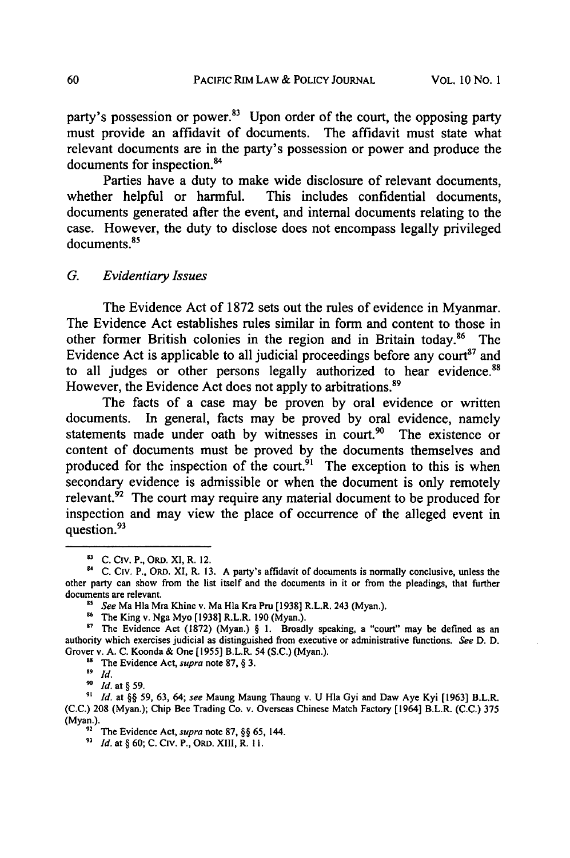party's possession or power.<sup>83</sup> Upon order of the court, the opposing party must provide an affidavit of documents. The affidavit must state what relevant documents are in the party's possession or power and produce the documents for inspection.<sup>84</sup>

Parties have a duty to make wide disclosure of relevant documents, whether helpful or harmful. This includes confidential documents, documents generated after the event, and internal documents relating to the case. However, the duty to disclose does not encompass legally privileged documents.<sup>85</sup>

#### *G. Evidentiary Issues*

The Evidence Act of 1872 sets out the rules of evidence in Myanmar. The Evidence Act establishes rules similar in form and content to those in other former British colonies in the region and in Britain today.<sup>86</sup> The Evidence Act is applicable to all judicial proceedings before any court<sup>87</sup> and to all judges or other persons legally authorized to hear evidence.<sup>88</sup> However, the Evidence Act does not apply to arbitrations.<sup>89</sup>

The facts of a case may be proven by oral evidence or written documents. In general, facts may be proved by oral evidence, namely statements made under oath by witnesses in court.<sup>90</sup> The existence or content of documents must be proved by the documents themselves and produced for the inspection of the court.<sup> $91$ </sup> The exception to this is when secondary evidence is admissible or when the document is only remotely relevant. $92$  The court may require any material document to be produced for inspection and may view the place of occurrence of the alleged event in question.<sup>93</sup>

**s1 C.** Civ. P., ORD. XI, R. 12.

<sup>94</sup> C. Civ. P., **ORD.** XI, R. **13.** A party's affidavit of documents is normally conclusive, unless the other party can show from the list itself and the documents in it or from the pleadings, that further documents are relevant.

*s See* Ma Hla Mra Khine v. Ma Hla Kra *Pro* [1938] R.L.R. 243 (Myan.).

The King v. Nga Myo [1938] R.L.R. 190 (Myan.).

<sup>&</sup>lt;sup>87</sup> The Evidence Act (1872) (Myan.) § 1. Broadly speaking, a "court" may be defined as an authority which exercises judicial as distinguished from executive or administrative functions. *See* D. D. Grover v. A. C. Koonda & One [1955] B.L.R. 54 (S.C.) (Myan.). **SPACE** Vidence Act, *supra* note 87, § 3.

*<sup>89</sup> Id.*

*<sup>&#</sup>x27;0 Id.* at **§** 59.

**<sup>&</sup>quot;** *Id.* at §§ 59, 63, 64; *see* Maung Maung Thaung v. U HIa Gyi and Daw Aye Kyi [1963] B.L.R. (C.C.) 208 (Myan.); Chip Bee Trading Co. v. Overseas Chinese Match Factory [1964] B.L.R. (C.C.) 375 (Myan.).

<sup>&</sup>lt;sup>92</sup> The Evidence Act, *supra* note 87, §§ 65, 144.

*<sup>93</sup> Id.* at § 60; C. Civ. P., ORD. XIII, R. **11.**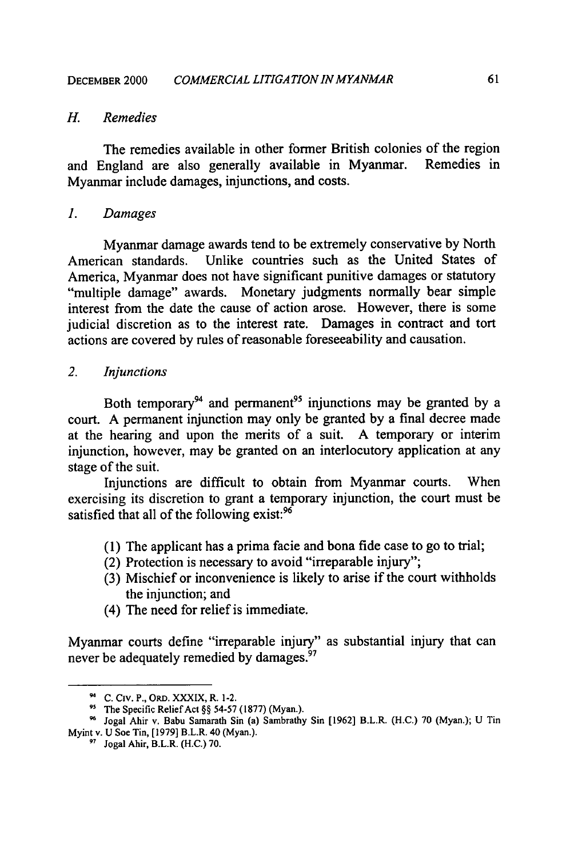## *H. Remedies*

The remedies available in other former British colonies of the region and England are also generally available in Myanmar. Remedies in Myanmar include damages, injunctions, and costs.

#### *1. Damages*

Myanmar damage awards tend to be extremely conservative **by** North American standards. Unlike countries such as the United States of America, Myanmar does not have significant punitive damages or statutory "multiple damage" awards. Monetary judgments normally bear simple interest from the date the cause of action arose. However, there is some judicial discretion as to the interest rate. Damages in contract and tort actions are covered **by** rules of reasonable foreseeability and causation.

## *2. Injunctions*

Both temporary<sup>94</sup> and permanent<sup>95</sup> injunctions may be granted by a court. **A** permanent injunction may only be granted **by** a final decree made at the hearing and upon the merits of a suit. **A** temporary or interim injunction, however, may be granted on an interlocutory application at any stage of the suit.

Injunctions are difficult to obtain from Myanmar courts. When exercising its discretion to grant a temporary injunction, the court must be satisfied that all of the following exist:<sup>96</sup>

- **(1)** The applicant has a prima facie and bona fide case to go to trial;
- (2) Protection is necessary to avoid "irreparable injury";
- **(3)** Mischief or inconvenience is likely to arise if the court withholds the injunction; and
- (4) The need for relief is immediate.

Myanmar courts define "irreparable injury" as substantial injury that can never be adequately remedied **by** damages.97

**C.** Civ. P., **ORD.** XXXIX, R. 1-2.

**<sup>9&#</sup>x27;** The Specific Relief Act §§ **54-57 (1877)** (Myan.).

**<sup>&#</sup>x27;** Jogal Ahir v. Babu Samarath Sin (a) Sambrathy Sin **[1962]** B.L.R. **(H.C.) 70** (Myan.); **U** Tin Myint v. **U** Soe Tin, **[1979]** B.L.R. 40 (Myan.).

**<sup>&#</sup>x27;** Jogal Ahir, B.L.R. **(H.C.) 70.**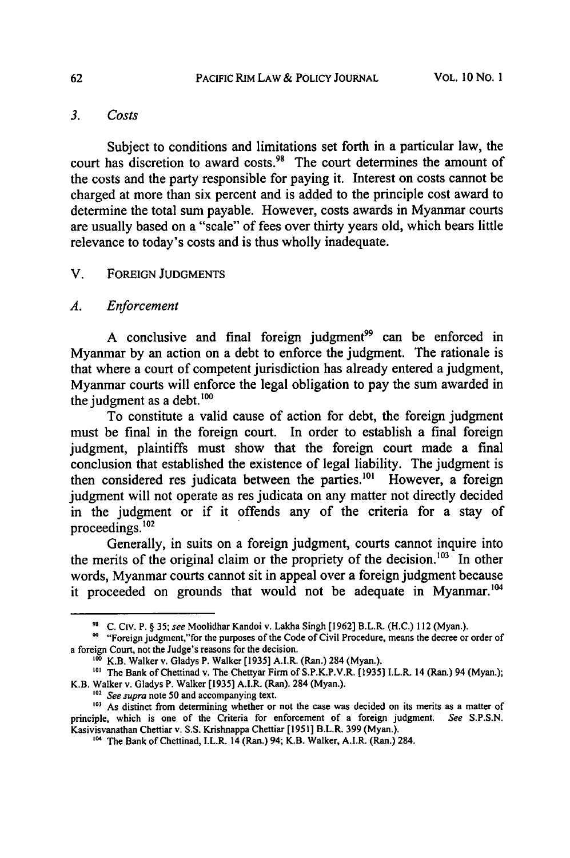# *3. Costs*

Subject to conditions and limitations set forth in a particular law, the court has discretion to award costs.<sup>98</sup> The court determines the amount of the costs and the party responsible for paying it. Interest on costs cannot be charged at more than six percent and is added to the principle cost award to determine the total sum payable. However, costs awards in Myanmar courts are usually based on a "scale" of fees over thirty years old, which bears little relevance to today's costs and is thus wholly inadequate.

## V. FOREIGN **JUDGMENTS**

#### *A. Enforcement*

A conclusive and final foreign judgment<sup>99</sup> can be enforced in Myanmar by an action on a debt to enforce the judgment. The rationale is that where a court of competent jurisdiction has already entered a judgment, Myanmar courts will enforce the legal obligation to pay the sum awarded in the judgment as a debt. $^{100}$ 

To constitute a valid cause of action for debt, the foreign judgment must be final in the foreign court. In order to establish a final foreign judgment, plaintiffs must show that the foreign court made a final conclusion that established the existence of legal liability. The judgment is then considered res judicata between the parties.<sup>101</sup> However, a foreign judgment will not operate as res judicata on any matter not directly decided in the judgment or if it offends any of the criteria for a stay of proceedings. $102$ 

Generally, in suits on a foreign judgment, courts cannot inquire into the merits of the original claim or the propriety of the decision.<sup>103</sup> In other words, Myanmar courts cannot sit in appeal over a foreign judgment because it proceeded on grounds that would not be adequate in Myanmar.<sup>104</sup>

<sup>&</sup>quot; **C.** Civ. P. § 35; see Moolidhar Kandoi v. Lakha Singh [1962] B.L.R. **(H.C.)** 112 (Myan.).

<sup>&</sup>lt;sup>99</sup> "Foreign judgment,"for the purposes of the Code of Civil Procedure, means the decree or order of a foreign Court, not the Judge's reasons for the decision.

K.B. Walker v. Gladys P. Walker [1935] A.I.R. (Ran.) 284 (Myan.).

<sup>&</sup>lt;sup>101</sup> The Bank of Chettinad v. The Chettyar Firm of S.P.K.P.V.R. [1935] I.L.R. 14 (Ran.) 94 (Myan.); K.B. Walker v. Gladys P. Walker [1935] A.I.R. (Ran). 284 (Myan.). <sup>102</sup> See supra note 50 and accompanying text.

<sup>&</sup>lt;sup>103</sup> As distinct from determining whether or not the case was decided on its merits as a matter of principle, which is one of the Criteria for enforcement of a foreign judgment. See S.P.S.N. Kasivisvanathan Chettiar v. S.S. Krishnappa Chettiar [1951] B.L.R. 399 (Myan.).

**<sup>&</sup>quot;o4** The Bank of Chettinad, I.L.R. 14 (Ran.) **94;** K.B. Walker, A.I.R. (Ran.) 284.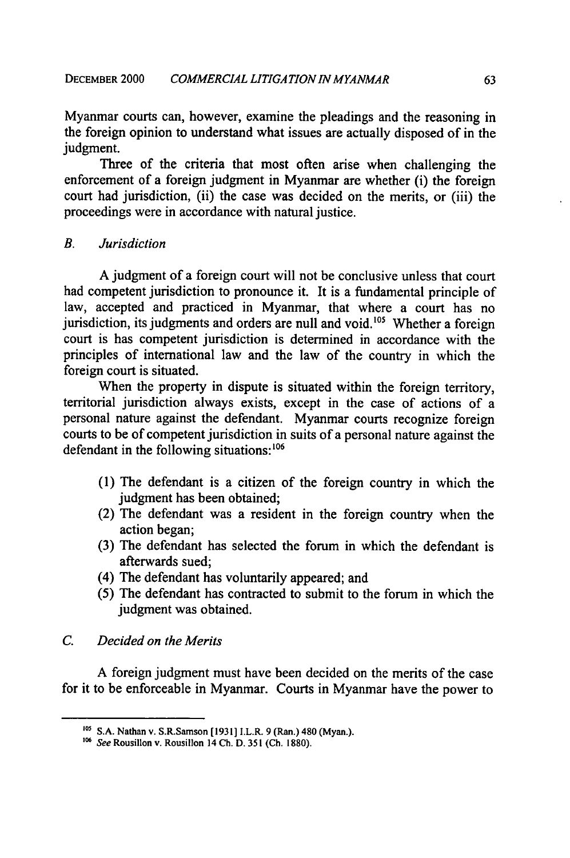Myanmar courts can, however, examine the pleadings and the reasoning in the foreign opinion to understand what issues are actually disposed of in the judgment.

Three of the criteria that most often arise when challenging the enforcement of a foreign judgment in Myanmar are whether (i) the foreign court had jurisdiction, (ii) the case was decided on the merits, or (iii) the proceedings were in accordance with natural justice.

*B. Jurisdiction*

A judgment of a foreign court will not be conclusive unless that court had competent jurisdiction to pronounce it. It is a fundamental principle of law, accepted and practiced in Myanmar, that where a court has no jurisdiction, its judgments and orders are null and void.<sup>105</sup> Whether a foreign court is has competent jurisdiction is determined in accordance with the principles of international law and the law of the country in which the foreign court is situated.

When the property in dispute is situated within the foreign territory, territorial jurisdiction always exists, except in the case of actions of a personal nature against the defendant. Myanmar courts recognize foreign courts to be of competent jurisdiction in suits of a personal nature against the defendant in the following situations:<sup>106</sup>

- (1) The defendant is a citizen of the foreign country in which the judgment has been obtained;
- (2) The defendant was a resident in the foreign country when the action began;
- (3) The defendant has selected the forum in which the defendant is afterwards sued;
- (4) The defendant has voluntarily appeared; and
- *(5)* The defendant has contracted to submit to the forum in which the judgment was obtained.
- *C. Decided on the Merits*

A foreign judgment must have been decided on the merits of the case for it to be enforceable in Myanmar. Courts in Myanmar have the power to

**OS** S.A. Nathan v. S.R.Samson [1931] I.L.R. 9 (Ran.) 480 (Myan.).

<sup>&</sup>lt;sup>106</sup> See Rousillon v. Rousillon 14 Ch. D. 351 (Ch. 1880).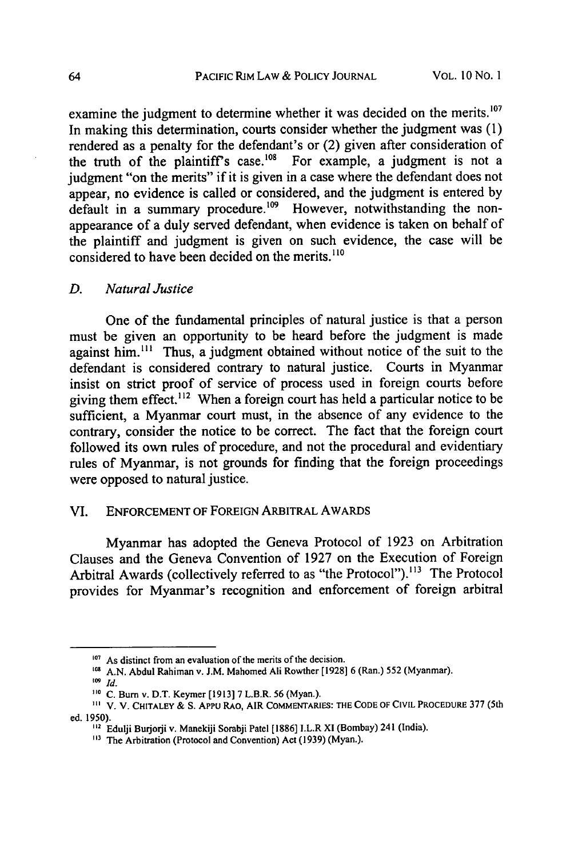examine the judgment to determine whether it was decided on the merits.<sup>107</sup> In making this determination, courts consider whether the judgment was (1) rendered as a penalty for the defendant's or (2) given after consideration of the truth of the plaintiff's case.<sup>108</sup> For example, a judgment is not a judgment "on the merits" if it is given in a case where the defendant does not appear, no evidence is called or considered, and the judgment is entered by default in a summary procedure.<sup>109</sup> However, notwithstanding the nonappearance of a duly served defendant, when evidence is taken on behalf of the plaintiff and judgment is given on such evidence, the case will be considered to have been decided on the merits.<sup>110</sup>

#### *D. Natural Justice*

One of the fundamental principles of natural justice is that a person must be given an opportunity to be heard before the judgment is made against him.<sup>111</sup> Thus, a judgment obtained without notice of the suit to the defendant is considered contrary to natural justice. Courts in Myanmar insist on strict proof of service of process used in foreign courts before giving them effect.<sup>112</sup> When a foreign court has held a particular notice to be sufficient, a Myanmar court must, in the absence of any evidence to the contrary, consider the notice to be correct. The fact that the foreign court followed its own rules of procedure, and not the procedural and evidentiary rules of Myanmar, is not grounds for finding that the foreign proceedings were opposed to natural justice.

#### VI. **ENFORCEMENT** OF FOREIGN ARBITRAL AWARDS

Myanmar has adopted the Geneva Protocol of 1923 on Arbitration Clauses and the Geneva Convention of 1927 on the Execution of Foreign Arbitral Awards (collectively referred to as "the Protocol").<sup>113</sup> The Protocol provides for Myanmar's recognition and enforcement of foreign arbitral

<sup>&</sup>lt;sup>107</sup> As distinct from an evaluation of the merits of the decision.

**<sup>05</sup> A.N.** Abdul Rahiman v. **J.M.** Mahomed **Ali** Rowther **[1928] 6** (Ran.) **552** (Myanmar).

*<sup>109</sup> Id.*

<sup>1&</sup>lt;sup>10</sup> C. Burn v. D.T. Keymer [1913] 7 L.B.R. 56 (Myan.).

V. V. CHITALEY **& S.** APPu RAO, AIR COMMENTARIES: **THE CODE OF CIVIL** PROCEDURE **377** (5th ed. 1950).

<sup>&</sup>lt;sup>112</sup> Edulji Burjorji v. Manekiji Sorabji Patel [1886] I.L.R XI (Bombay) 241 (India).

**<sup>&</sup>quot;3** The Arbitration (Protocol and Convention) Act (1939) (Myan.).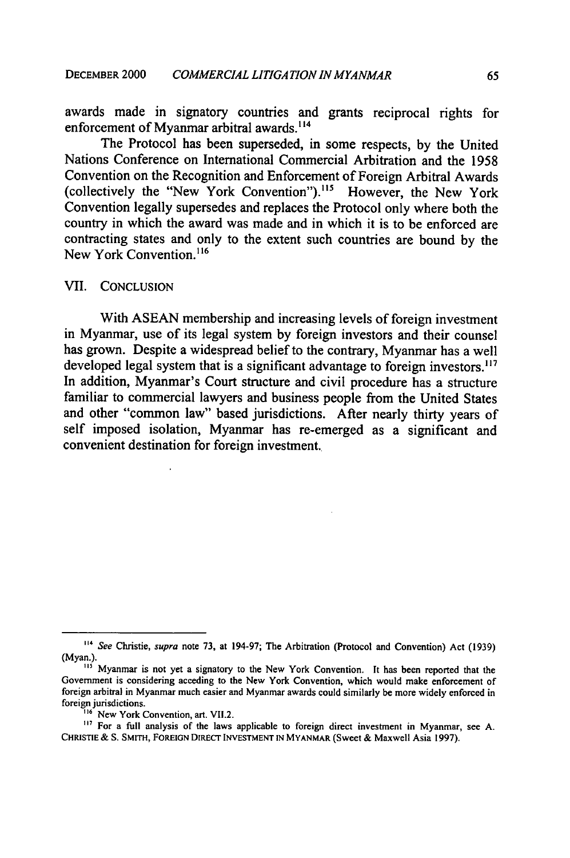awards made in signatory countries and grants reciprocal rights for enforcement of Myanmar arbitral awards.<sup>114</sup>

The Protocol has been superseded, in some respects, by the United Nations Conference on International Commercial Arbitration and the 1958 Convention on the Recognition and Enforcement of Foreign Arbitral Awards (collectively the "New York Convention").<sup>115</sup> However, the New York Convention legally supersedes and replaces the Protocol only where both the country in which the award was made and in which it is to be enforced are contracting states and only to the extent such countries are bound by the New York Convention.<sup>116</sup>

#### VII. CONCLUSION

With ASEAN membership and increasing levels of foreign investment in Myanmar, use of its legal system by foreign investors and their counsel has grown. Despite a widespread belief to the contrary, Myanmar has a well developed legal system that is a significant advantage to foreign investors.<sup>117</sup> In addition, Myanmar's Court structure and civil procedure has a structure familiar to commercial lawyers and business people from the United States and other "common law" based jurisdictions. After nearly thirty years of self imposed isolation, Myamnar has re-emerged as a significant and convenient destination for foreign investment.

**<sup>..4</sup> See** Christie, **supra** note **73,** at **194-97;** The Arbitration (Protocol and Convention) Act **(1939) (Myan.).**

<sup>&</sup>lt;sup>115</sup> Myanmar is not yet a signatory to the New York Convention. It has been reported that the Government is considering acceding to the New York Convention, which would make enforcement of foreign arbitral in Myanmar much easier and Myanmar awards could similarly be more widely enforced in foreign jurisdictions.

<sup>&</sup>lt;sup>116</sup> New York Convention, art. VII.2.

<sup>&</sup>lt;sup>117</sup> For a full analysis of the laws applicable to foreign direct investment in Myanmar, see A. CHRISTIE **& S.** SMITH, FOREIGN DIRECT **INVESTMENT IN** MYANMAR (Sweet & Maxwell Asia 1997).